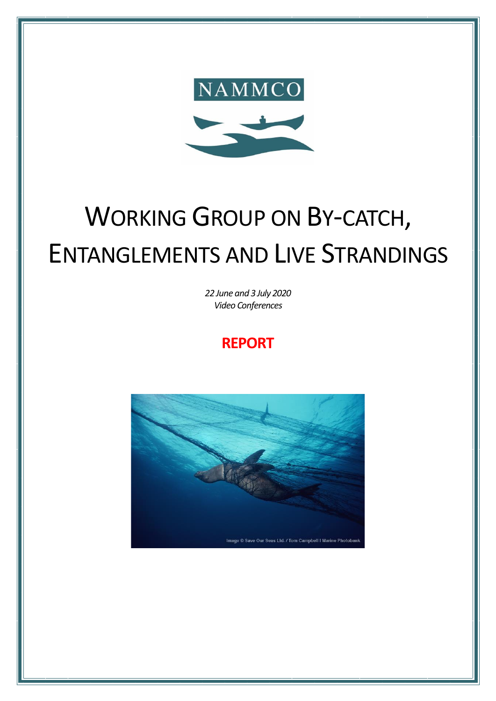

# WORKING GROUP ON BY-CATCH, ENTANGLEMENTS AND LIVE STRANDINGS

*22 June and 3 July 2020 Video Conferences*

# **REPORT**

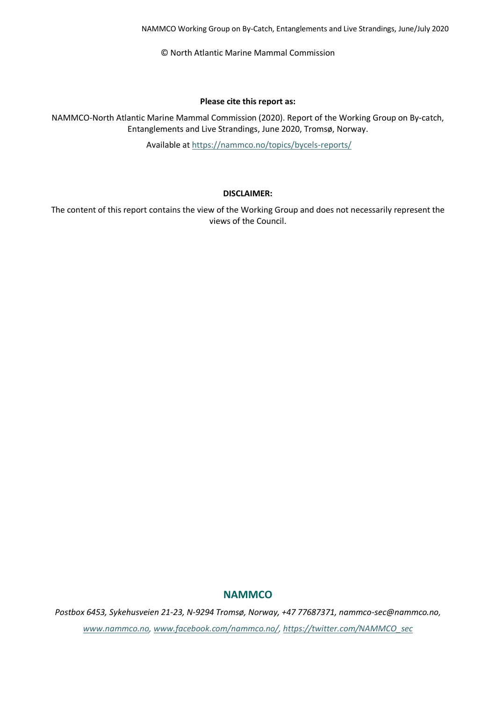© North Atlantic Marine Mammal Commission

#### **Please cite this report as:**

NAMMCO-North Atlantic Marine Mammal Commission (2020). Report of the Working Group on By-catch, Entanglements and Live Strandings, June 2020, Tromsø, Norway.

Available at <https://nammco.no/topics/bycels-reports/>

#### **DISCLAIMER:**

The content of this report contains the view of the Working Group and does not necessarily represent the views of the Council.

#### **NAMMCO**

*Postbox 6453, Sykehusveien 21-23, N-9294 Tromsø, Norway, +47 77687371, nammco-sec@nammco.no, [www.nammco.no,](file:///C:/Users/manatugend/Desktop/www.nammco.no) [www.facebook.com/nammco.no/,](http://www.facebook.com/nammco.no/) [https://twitter.com/NAMMCO\\_sec](https://twitter.com/NAMMCO_sec)*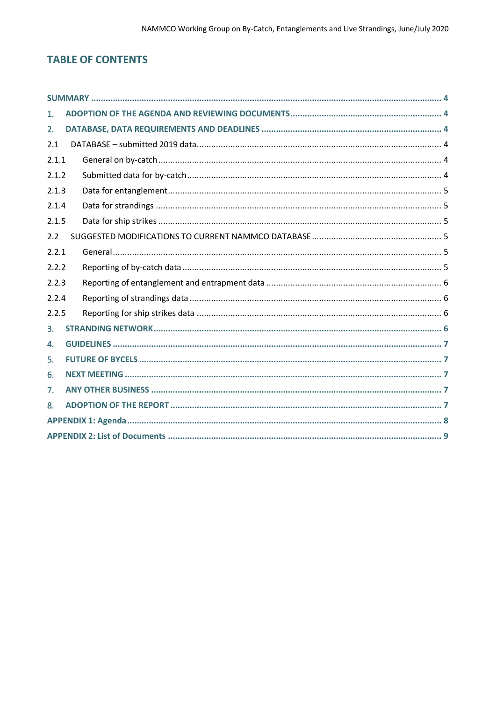# **TABLE OF CONTENTS**

| 1.    |  |  |  |  |  |
|-------|--|--|--|--|--|
| 2.    |  |  |  |  |  |
| 2.1   |  |  |  |  |  |
| 2.1.1 |  |  |  |  |  |
| 2.1.2 |  |  |  |  |  |
| 2.1.3 |  |  |  |  |  |
| 2.1.4 |  |  |  |  |  |
| 2.1.5 |  |  |  |  |  |
| 2.2   |  |  |  |  |  |
| 2.2.1 |  |  |  |  |  |
| 2.2.2 |  |  |  |  |  |
| 2.2.3 |  |  |  |  |  |
| 2.2.4 |  |  |  |  |  |
| 2.2.5 |  |  |  |  |  |
| 3.    |  |  |  |  |  |
| 4.    |  |  |  |  |  |
| 5.    |  |  |  |  |  |
| 6.    |  |  |  |  |  |
| 7.    |  |  |  |  |  |
| 8.    |  |  |  |  |  |
|       |  |  |  |  |  |
|       |  |  |  |  |  |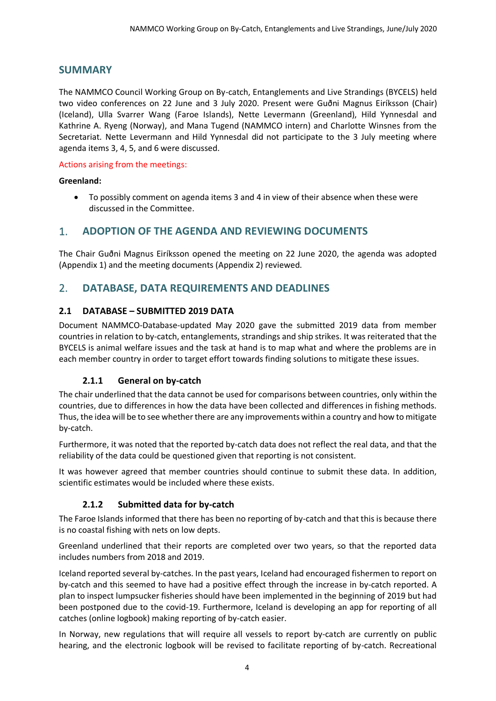# <span id="page-3-0"></span>**SUMMARY**

The NAMMCO Council Working Group on By-catch, Entanglements and Live Strandings (BYCELS) held two video conferences on 22 June and 3 July 2020. Present were Guðni Magnus Eiríksson (Chair) (Iceland), Ulla Svarrer Wang (Faroe Islands), Nette Levermann (Greenland), Hild Yynnesdal and Kathrine A. Ryeng (Norway), and Mana Tugend (NAMMCO intern) and Charlotte Winsnes from the Secretariat. Nette Levermann and Hild Yynnesdal did not participate to the 3 July meeting where agenda items 3, 4, 5, and 6 were discussed.

#### Actions arising from the meetings:

#### **Greenland:**

• To possibly comment on agenda items 3 and 4 in view of their absence when these were discussed in the Committee.

# <span id="page-3-1"></span>1. **ADOPTION OF THE AGENDA AND REVIEWING DOCUMENTS**

The Chair Guðni Magnus Eiríksson opened the meeting on 22 June 2020, the agenda was adopted (Appendix [1\)](#page-7-0) and the meeting documents (Appendix [2\)](#page-8-0) reviewed.

# <span id="page-3-2"></span>2. **DATABASE, DATA REQUIREMENTS AND DEADLINES**

### <span id="page-3-3"></span>**2.1 DATABASE – SUBMITTED 2019 DATA**

Document NAMMCO-Database-updated May 2020 gave the submitted 2019 data from member countries in relation to by-catch, entanglements, strandings and ship strikes. It was reiterated that the BYCELS is animal welfare issues and the task at hand is to map what and where the problems are in each member country in order to target effort towards finding solutions to mitigate these issues.

#### **2.1.1 General on by-catch**

<span id="page-3-4"></span>The chair underlined that the data cannot be used for comparisons between countries, only within the countries, due to differences in how the data have been collected and differences in fishing methods. Thus, the idea will be to see whether there are any improvements within a country and how to mitigate by-catch.

Furthermore, it was noted that the reported by-catch data does not reflect the real data, and that the reliability of the data could be questioned given that reporting is not consistent.

It was however agreed that member countries should continue to submit these data. In addition, scientific estimates would be included where these exists.

#### **2.1.2 Submitted data for by-catch**

<span id="page-3-5"></span>The Faroe Islands informed that there has been no reporting of by-catch and that this is because there is no coastal fishing with nets on low depts.

Greenland underlined that their reports are completed over two years, so that the reported data includes numbers from 2018 and 2019.

Iceland reported several by-catches. In the past years, Iceland had encouraged fishermen to report on by-catch and this seemed to have had a positive effect through the increase in by-catch reported. A plan to inspect lumpsucker fisheries should have been implemented in the beginning of 2019 but had been postponed due to the covid-19. Furthermore, Iceland is developing an app for reporting of all catches (online logbook) making reporting of by-catch easier.

In Norway, new regulations that will require all vessels to report by-catch are currently on public hearing, and the electronic logbook will be revised to facilitate reporting of by-catch. Recreational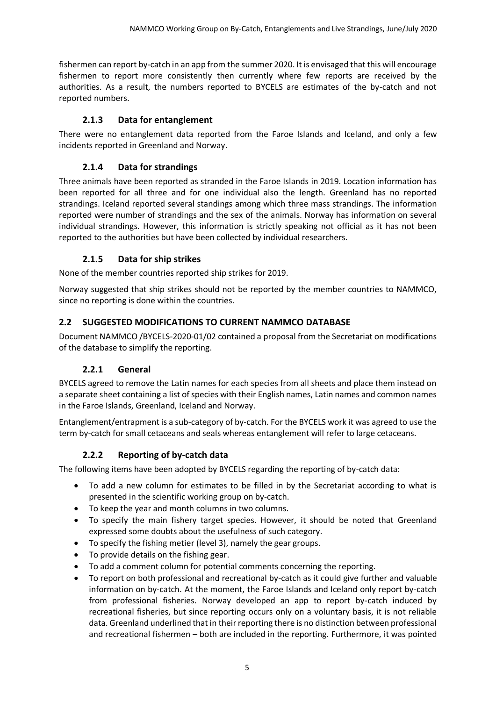fishermen can report by-catch in an app from the summer 2020. It is envisaged that this will encourage fishermen to report more consistently then currently where few reports are received by the authorities. As a result, the numbers reported to BYCELS are estimates of the by-catch and not reported numbers.

#### **2.1.3 Data for entanglement**

<span id="page-4-0"></span>There were no entanglement data reported from the Faroe Islands and Iceland, and only a few incidents reported in Greenland and Norway.

#### **2.1.4 Data for strandings**

<span id="page-4-1"></span>Three animals have been reported as stranded in the Faroe Islands in 2019. Location information has been reported for all three and for one individual also the length. Greenland has no reported strandings. Iceland reported several standings among which three mass strandings. The information reported were number of strandings and the sex of the animals. Norway has information on several individual strandings. However, this information is strictly speaking not official as it has not been reported to the authorities but have been collected by individual researchers.

#### **2.1.5 Data for ship strikes**

<span id="page-4-2"></span>None of the member countries reported ship strikes for 2019.

Norway suggested that ship strikes should not be reported by the member countries to NAMMCO, since no reporting is done within the countries.

#### <span id="page-4-3"></span>**2.2 SUGGESTED MODIFICATIONS TO CURRENT NAMMCO DATABASE**

Document NAMMCO /BYCELS-2020-01/02 contained a proposal from the Secretariat on modifications of the database to simplify the reporting.

#### **2.2.1 General**

<span id="page-4-4"></span>BYCELS agreed to remove the Latin names for each species from all sheets and place them instead on a separate sheet containing a list of species with their English names, Latin names and common names in the Faroe Islands, Greenland, Iceland and Norway.

Entanglement/entrapment is a sub-category of by-catch. For the BYCELS work it was agreed to use the term by-catch for small cetaceans and seals whereas entanglement will refer to large cetaceans.

#### **2.2.2 Reporting of by-catch data**

<span id="page-4-5"></span>The following items have been adopted by BYCELS regarding the reporting of by-catch data:

- To add a new column for estimates to be filled in by the Secretariat according to what is presented in the scientific working group on by-catch.
- To keep the year and month columns in two columns.
- To specify the main fishery target species. However, it should be noted that Greenland expressed some doubts about the usefulness of such category.
- To specify the fishing metier (level 3), namely the gear groups.
- To provide details on the fishing gear.
- To add a comment column for potential comments concerning the reporting.
- To report on both professional and recreational by-catch as it could give further and valuable information on by-catch. At the moment, the Faroe Islands and Iceland only report by-catch from professional fisheries. Norway developed an app to report by-catch induced by recreational fisheries, but since reporting occurs only on a voluntary basis, it is not reliable data. Greenland underlined that in their reporting there is no distinction between professional and recreational fishermen – both are included in the reporting. Furthermore, it was pointed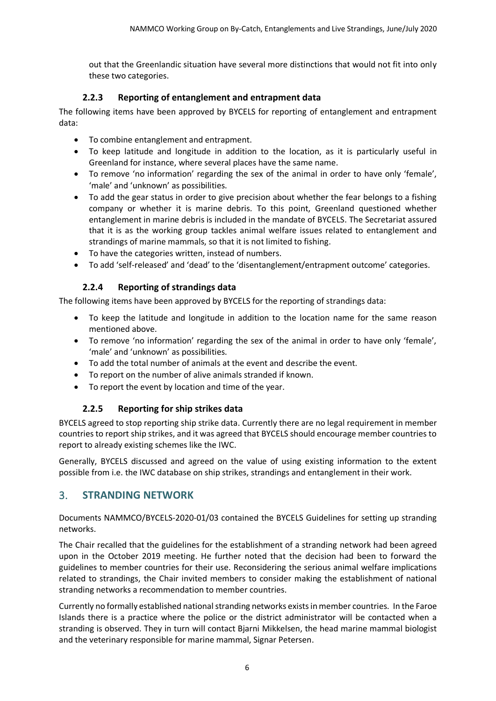out that the Greenlandic situation have several more distinctions that would not fit into only these two categories.

#### **2.2.3 Reporting of entanglement and entrapment data**

<span id="page-5-0"></span>The following items have been approved by BYCELS for reporting of entanglement and entrapment data:

- To combine entanglement and entrapment.
- To keep latitude and longitude in addition to the location, as it is particularly useful in Greenland for instance, where several places have the same name.
- To remove 'no information' regarding the sex of the animal in order to have only 'female', 'male' and 'unknown' as possibilities.
- To add the gear status in order to give precision about whether the fear belongs to a fishing company or whether it is marine debris. To this point, Greenland questioned whether entanglement in marine debris is included in the mandate of BYCELS. The Secretariat assured that it is as the working group tackles animal welfare issues related to entanglement and strandings of marine mammals, so that it is not limited to fishing.
- To have the categories written, instead of numbers.
- To add 'self-released' and 'dead' to the 'disentanglement/entrapment outcome' categories.

#### **2.2.4 Reporting of strandings data**

<span id="page-5-1"></span>The following items have been approved by BYCELS for the reporting of strandings data:

- To keep the latitude and longitude in addition to the location name for the same reason mentioned above.
- To remove 'no information' regarding the sex of the animal in order to have only 'female', 'male' and 'unknown' as possibilities.
- To add the total number of animals at the event and describe the event.
- To report on the number of alive animals stranded if known.
- To report the event by location and time of the year.

#### **2.2.5 Reporting for ship strikes data**

<span id="page-5-2"></span>BYCELS agreed to stop reporting ship strike data. Currently there are no legal requirement in member countries to report ship strikes, and it was agreed that BYCELS should encourage member countries to report to already existing schemes like the IWC.

Generally, BYCELS discussed and agreed on the value of using existing information to the extent possible from i.e. the IWC database on ship strikes, strandings and entanglement in their work.

# <span id="page-5-3"></span>3. **STRANDING NETWORK**

Documents NAMMCO/BYCELS-2020-01/03 contained the BYCELS Guidelines for setting up stranding networks.

The Chair recalled that the guidelines for the establishment of a stranding network had been agreed upon in the October 2019 meeting. He further noted that the decision had been to forward the guidelines to member countries for their use. Reconsidering the serious animal welfare implications related to strandings, the Chair invited members to consider making the establishment of national stranding networks a recommendation to member countries.

Currently no formally established national stranding networks exists in member countries. In the Faroe Islands there is a practice where the police or the district administrator will be contacted when a stranding is observed. They in turn will contact Bjarni Mikkelsen, the head marine mammal biologist and the veterinary responsible for marine mammal, Signar Petersen.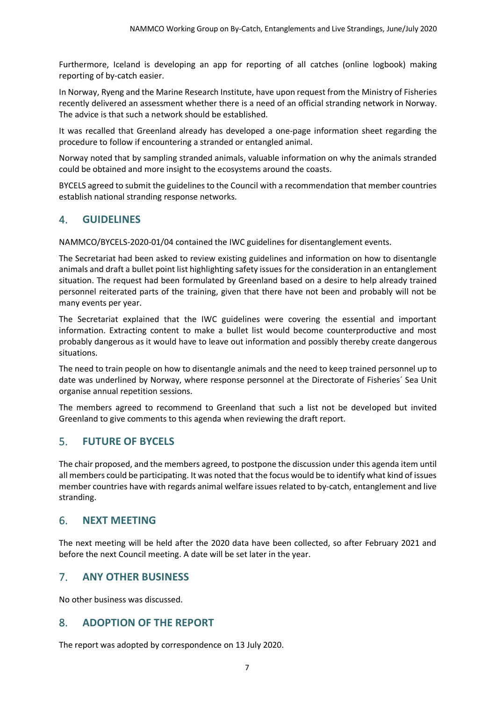Furthermore, Iceland is developing an app for reporting of all catches (online logbook) making reporting of by-catch easier.

In Norway, Ryeng and the Marine Research Institute, have upon request from the Ministry of Fisheries recently delivered an assessment whether there is a need of an official stranding network in Norway. The advice is that such a network should be established.

It was recalled that Greenland already has developed a one-page information sheet regarding the procedure to follow if encountering a stranded or entangled animal.

Norway noted that by sampling stranded animals, valuable information on why the animals stranded could be obtained and more insight to the ecosystems around the coasts.

BYCELS agreed to submit the guidelines to the Council with a recommendation that member countries establish national stranding response networks.

# <span id="page-6-0"></span>4. **GUIDELINES**

NAMMCO/BYCELS-2020-01/04 contained the IWC guidelines for disentanglement events.

The Secretariat had been asked to review existing guidelines and information on how to disentangle animals and draft a bullet point list highlighting safety issues for the consideration in an entanglement situation. The request had been formulated by Greenland based on a desire to help already trained personnel reiterated parts of the training, given that there have not been and probably will not be many events per year.

The Secretariat explained that the IWC guidelines were covering the essential and important information. Extracting content to make a bullet list would become counterproductive and most probably dangerous as it would have to leave out information and possibly thereby create dangerous situations.

The need to train people on how to disentangle animals and the need to keep trained personnel up to date was underlined by Norway, where response personnel at the Directorate of Fisheries´ Sea Unit organise annual repetition sessions.

The members agreed to recommend to Greenland that such a list not be developed but invited Greenland to give comments to this agenda when reviewing the draft report.

# <span id="page-6-1"></span>5. **FUTURE OF BYCELS**

The chair proposed, and the members agreed, to postpone the discussion under this agenda item until all members could be participating. It was noted that the focus would be to identify what kind of issues member countries have with regards animal welfare issues related to by-catch, entanglement and live stranding.

# <span id="page-6-2"></span>6. **NEXT MEETING**

The next meeting will be held after the 2020 data have been collected, so after February 2021 and before the next Council meeting. A date will be set later in the year.

# <span id="page-6-3"></span>7. **ANY OTHER BUSINESS**

No other business was discussed.

# <span id="page-6-4"></span>8. **ADOPTION OF THE REPORT**

The report was adopted by correspondence on 13 July 2020.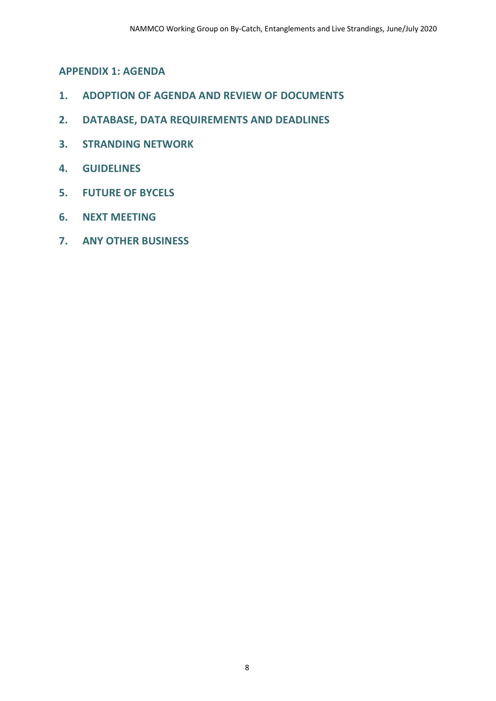<span id="page-7-0"></span>**APPENDIX 1: AGENDA**

- **1. ADOPTION OF AGENDA AND REVIEW OF DOCUMENTS**
- **2. DATABASE, DATA REQUIREMENTS AND DEADLINES**
- **3. STRANDING NETWORK**
- **4. GUIDELINES**
- **5. FUTURE OF BYCELS**
- **6. NEXT MEETING**
- **7. ANY OTHER BUSINESS**